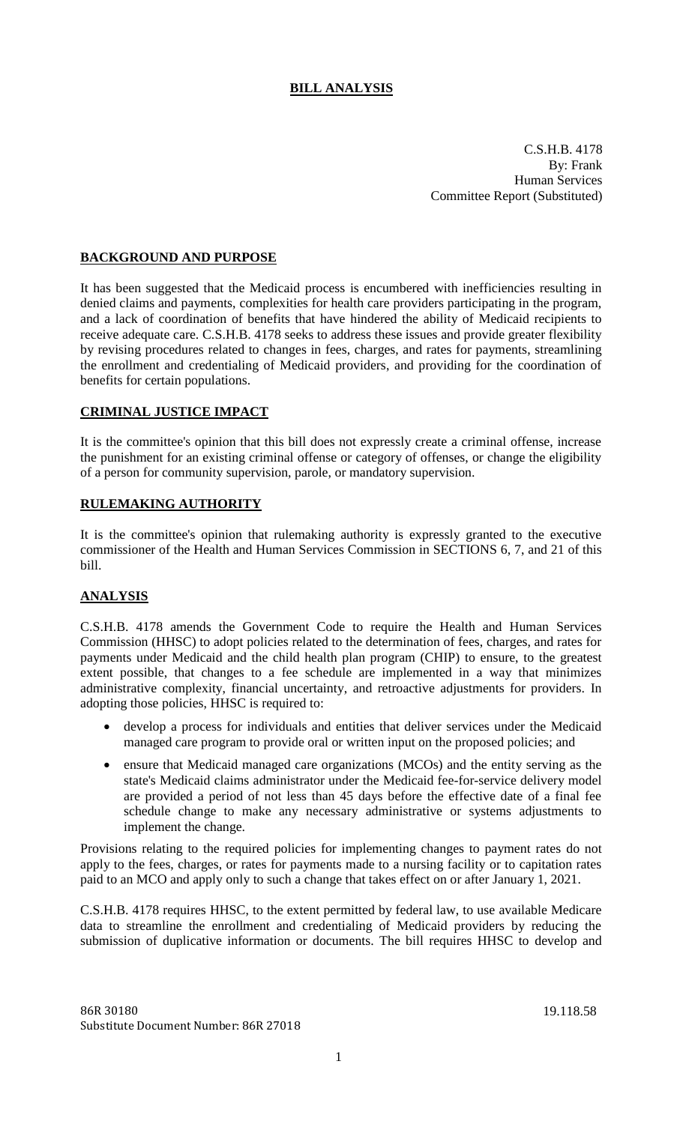# **BILL ANALYSIS**

C.S.H.B. 4178 By: Frank Human Services Committee Report (Substituted)

## **BACKGROUND AND PURPOSE**

It has been suggested that the Medicaid process is encumbered with inefficiencies resulting in denied claims and payments, complexities for health care providers participating in the program, and a lack of coordination of benefits that have hindered the ability of Medicaid recipients to receive adequate care. C.S.H.B. 4178 seeks to address these issues and provide greater flexibility by revising procedures related to changes in fees, charges, and rates for payments, streamlining the enrollment and credentialing of Medicaid providers, and providing for the coordination of benefits for certain populations.

#### **CRIMINAL JUSTICE IMPACT**

It is the committee's opinion that this bill does not expressly create a criminal offense, increase the punishment for an existing criminal offense or category of offenses, or change the eligibility of a person for community supervision, parole, or mandatory supervision.

### **RULEMAKING AUTHORITY**

It is the committee's opinion that rulemaking authority is expressly granted to the executive commissioner of the Health and Human Services Commission in SECTIONS 6, 7, and 21 of this bill.

## **ANALYSIS**

C.S.H.B. 4178 amends the Government Code to require the Health and Human Services Commission (HHSC) to adopt policies related to the determination of fees, charges, and rates for payments under Medicaid and the child health plan program (CHIP) to ensure, to the greatest extent possible, that changes to a fee schedule are implemented in a way that minimizes administrative complexity, financial uncertainty, and retroactive adjustments for providers. In adopting those policies, HHSC is required to:

- develop a process for individuals and entities that deliver services under the Medicaid managed care program to provide oral or written input on the proposed policies; and
- ensure that Medicaid managed care organizations (MCOs) and the entity serving as the state's Medicaid claims administrator under the Medicaid fee-for-service delivery model are provided a period of not less than 45 days before the effective date of a final fee schedule change to make any necessary administrative or systems adjustments to implement the change.

Provisions relating to the required policies for implementing changes to payment rates do not apply to the fees, charges, or rates for payments made to a nursing facility or to capitation rates paid to an MCO and apply only to such a change that takes effect on or after January 1, 2021.

C.S.H.B. 4178 requires HHSC, to the extent permitted by federal law, to use available Medicare data to streamline the enrollment and credentialing of Medicaid providers by reducing the submission of duplicative information or documents. The bill requires HHSC to develop and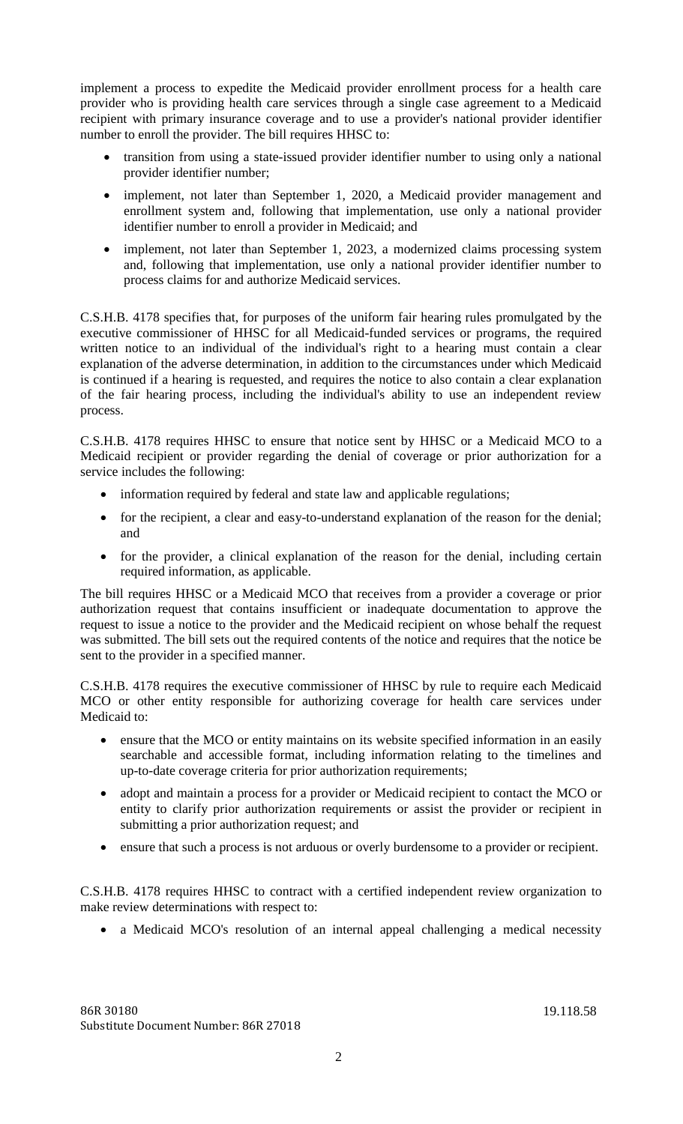implement a process to expedite the Medicaid provider enrollment process for a health care provider who is providing health care services through a single case agreement to a Medicaid recipient with primary insurance coverage and to use a provider's national provider identifier number to enroll the provider. The bill requires HHSC to:

- transition from using a state-issued provider identifier number to using only a national provider identifier number;
- implement, not later than September 1, 2020, a Medicaid provider management and enrollment system and, following that implementation, use only a national provider identifier number to enroll a provider in Medicaid; and
- implement, not later than September 1, 2023, a modernized claims processing system and, following that implementation, use only a national provider identifier number to process claims for and authorize Medicaid services.

C.S.H.B. 4178 specifies that, for purposes of the uniform fair hearing rules promulgated by the executive commissioner of HHSC for all Medicaid-funded services or programs, the required written notice to an individual of the individual's right to a hearing must contain a clear explanation of the adverse determination, in addition to the circumstances under which Medicaid is continued if a hearing is requested, and requires the notice to also contain a clear explanation of the fair hearing process, including the individual's ability to use an independent review process.

C.S.H.B. 4178 requires HHSC to ensure that notice sent by HHSC or a Medicaid MCO to a Medicaid recipient or provider regarding the denial of coverage or prior authorization for a service includes the following:

- information required by federal and state law and applicable regulations;
- for the recipient, a clear and easy-to-understand explanation of the reason for the denial; and
- for the provider, a clinical explanation of the reason for the denial, including certain required information, as applicable.

The bill requires HHSC or a Medicaid MCO that receives from a provider a coverage or prior authorization request that contains insufficient or inadequate documentation to approve the request to issue a notice to the provider and the Medicaid recipient on whose behalf the request was submitted. The bill sets out the required contents of the notice and requires that the notice be sent to the provider in a specified manner.

C.S.H.B. 4178 requires the executive commissioner of HHSC by rule to require each Medicaid MCO or other entity responsible for authorizing coverage for health care services under Medicaid to:

- ensure that the MCO or entity maintains on its website specified information in an easily searchable and accessible format, including information relating to the timelines and up-to-date coverage criteria for prior authorization requirements;
- adopt and maintain a process for a provider or Medicaid recipient to contact the MCO or entity to clarify prior authorization requirements or assist the provider or recipient in submitting a prior authorization request; and
- ensure that such a process is not arduous or overly burdensome to a provider or recipient.

C.S.H.B. 4178 requires HHSC to contract with a certified independent review organization to make review determinations with respect to:

• a Medicaid MCO's resolution of an internal appeal challenging a medical necessity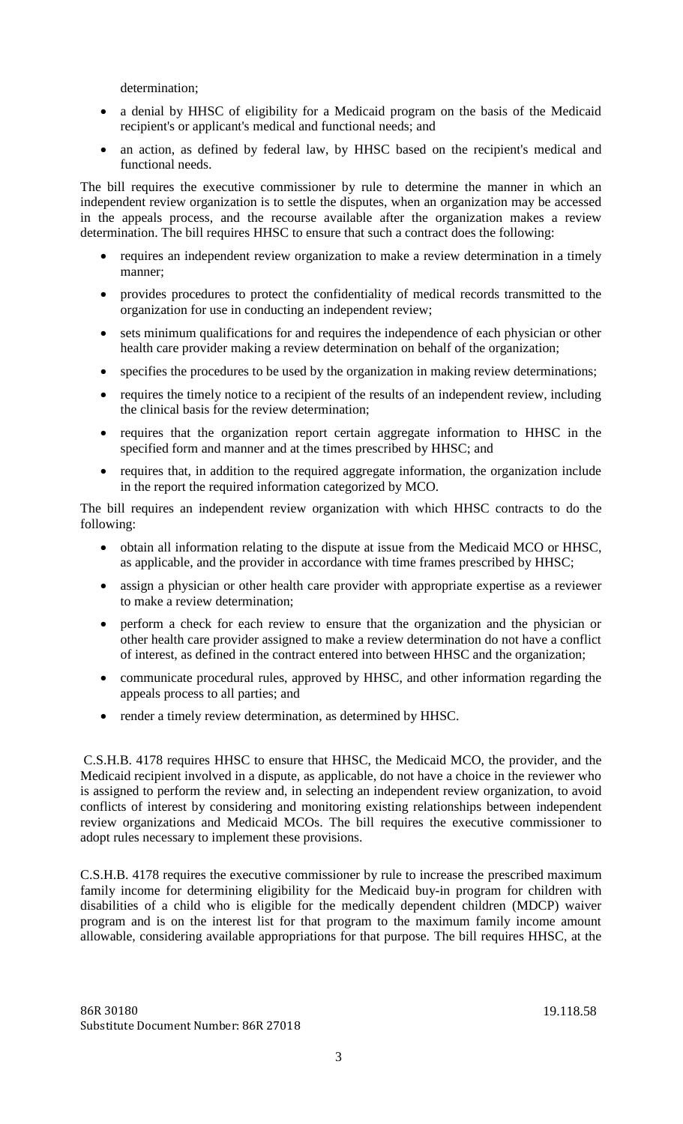determination;

- a denial by HHSC of eligibility for a Medicaid program on the basis of the Medicaid recipient's or applicant's medical and functional needs; and
- an action, as defined by federal law, by HHSC based on the recipient's medical and functional needs.

The bill requires the executive commissioner by rule to determine the manner in which an independent review organization is to settle the disputes, when an organization may be accessed in the appeals process, and the recourse available after the organization makes a review determination. The bill requires HHSC to ensure that such a contract does the following:

- requires an independent review organization to make a review determination in a timely manner;
- provides procedures to protect the confidentiality of medical records transmitted to the organization for use in conducting an independent review;
- sets minimum qualifications for and requires the independence of each physician or other health care provider making a review determination on behalf of the organization;
- specifies the procedures to be used by the organization in making review determinations;
- requires the timely notice to a recipient of the results of an independent review, including the clinical basis for the review determination;
- requires that the organization report certain aggregate information to HHSC in the specified form and manner and at the times prescribed by HHSC; and
- requires that, in addition to the required aggregate information, the organization include in the report the required information categorized by MCO.

The bill requires an independent review organization with which HHSC contracts to do the following:

- obtain all information relating to the dispute at issue from the Medicaid MCO or HHSC, as applicable, and the provider in accordance with time frames prescribed by HHSC;
- assign a physician or other health care provider with appropriate expertise as a reviewer to make a review determination;
- perform a check for each review to ensure that the organization and the physician or other health care provider assigned to make a review determination do not have a conflict of interest, as defined in the contract entered into between HHSC and the organization;
- communicate procedural rules, approved by HHSC, and other information regarding the appeals process to all parties; and
- render a timely review determination, as determined by HHSC.

C.S.H.B. 4178 requires HHSC to ensure that HHSC, the Medicaid MCO, the provider, and the Medicaid recipient involved in a dispute, as applicable, do not have a choice in the reviewer who is assigned to perform the review and, in selecting an independent review organization, to avoid conflicts of interest by considering and monitoring existing relationships between independent review organizations and Medicaid MCOs. The bill requires the executive commissioner to adopt rules necessary to implement these provisions.

C.S.H.B. 4178 requires the executive commissioner by rule to increase the prescribed maximum family income for determining eligibility for the Medicaid buy-in program for children with disabilities of a child who is eligible for the medically dependent children (MDCP) waiver program and is on the interest list for that program to the maximum family income amount allowable, considering available appropriations for that purpose. The bill requires HHSC, at the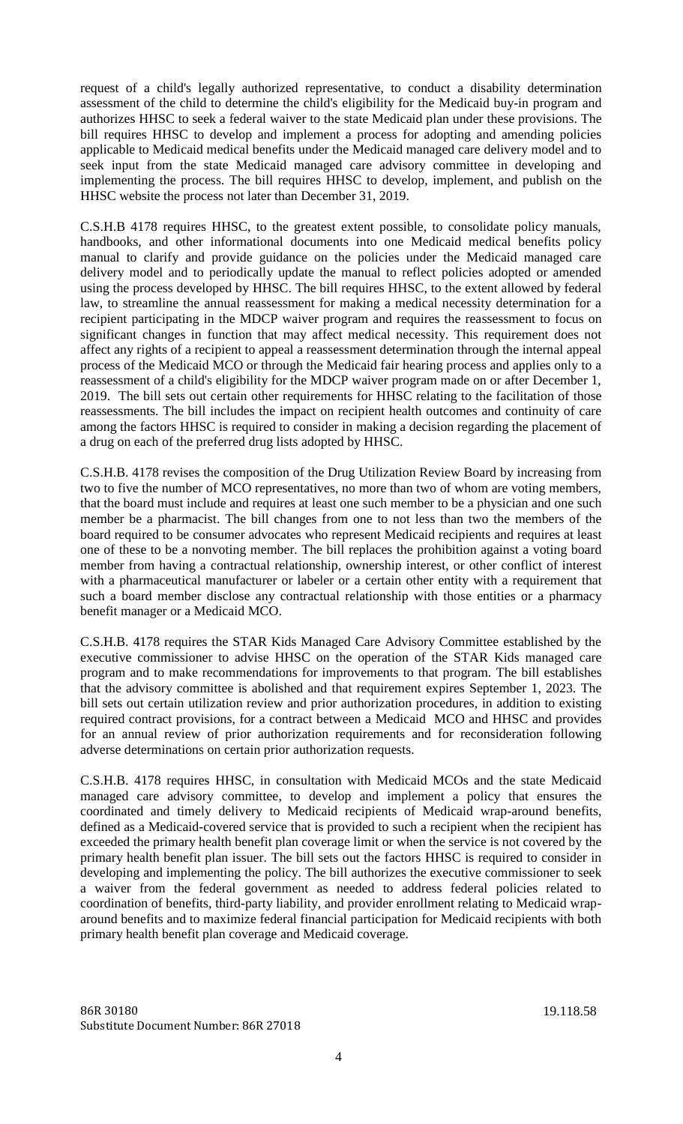request of a child's legally authorized representative, to conduct a disability determination assessment of the child to determine the child's eligibility for the Medicaid buy-in program and authorizes HHSC to seek a federal waiver to the state Medicaid plan under these provisions. The bill requires HHSC to develop and implement a process for adopting and amending policies applicable to Medicaid medical benefits under the Medicaid managed care delivery model and to seek input from the state Medicaid managed care advisory committee in developing and implementing the process. The bill requires HHSC to develop, implement, and publish on the HHSC website the process not later than December 31, 2019.

C.S.H.B 4178 requires HHSC, to the greatest extent possible, to consolidate policy manuals, handbooks, and other informational documents into one Medicaid medical benefits policy manual to clarify and provide guidance on the policies under the Medicaid managed care delivery model and to periodically update the manual to reflect policies adopted or amended using the process developed by HHSC. The bill requires HHSC, to the extent allowed by federal law, to streamline the annual reassessment for making a medical necessity determination for a recipient participating in the MDCP waiver program and requires the reassessment to focus on significant changes in function that may affect medical necessity. This requirement does not affect any rights of a recipient to appeal a reassessment determination through the internal appeal process of the Medicaid MCO or through the Medicaid fair hearing process and applies only to a reassessment of a child's eligibility for the MDCP waiver program made on or after December 1, 2019. The bill sets out certain other requirements for HHSC relating to the facilitation of those reassessments. The bill includes the impact on recipient health outcomes and continuity of care among the factors HHSC is required to consider in making a decision regarding the placement of a drug on each of the preferred drug lists adopted by HHSC.

C.S.H.B. 4178 revises the composition of the Drug Utilization Review Board by increasing from two to five the number of MCO representatives, no more than two of whom are voting members, that the board must include and requires at least one such member to be a physician and one such member be a pharmacist. The bill changes from one to not less than two the members of the board required to be consumer advocates who represent Medicaid recipients and requires at least one of these to be a nonvoting member. The bill replaces the prohibition against a voting board member from having a contractual relationship, ownership interest, or other conflict of interest with a pharmaceutical manufacturer or labeler or a certain other entity with a requirement that such a board member disclose any contractual relationship with those entities or a pharmacy benefit manager or a Medicaid MCO.

C.S.H.B. 4178 requires the STAR Kids Managed Care Advisory Committee established by the executive commissioner to advise HHSC on the operation of the STAR Kids managed care program and to make recommendations for improvements to that program. The bill establishes that the advisory committee is abolished and that requirement expires September 1, 2023. The bill sets out certain utilization review and prior authorization procedures, in addition to existing required contract provisions, for a contract between a Medicaid MCO and HHSC and provides for an annual review of prior authorization requirements and for reconsideration following adverse determinations on certain prior authorization requests.

C.S.H.B. 4178 requires HHSC, in consultation with Medicaid MCOs and the state Medicaid managed care advisory committee, to develop and implement a policy that ensures the coordinated and timely delivery to Medicaid recipients of Medicaid wrap-around benefits, defined as a Medicaid-covered service that is provided to such a recipient when the recipient has exceeded the primary health benefit plan coverage limit or when the service is not covered by the primary health benefit plan issuer. The bill sets out the factors HHSC is required to consider in developing and implementing the policy. The bill authorizes the executive commissioner to seek a waiver from the federal government as needed to address federal policies related to coordination of benefits, third-party liability, and provider enrollment relating to Medicaid wraparound benefits and to maximize federal financial participation for Medicaid recipients with both primary health benefit plan coverage and Medicaid coverage.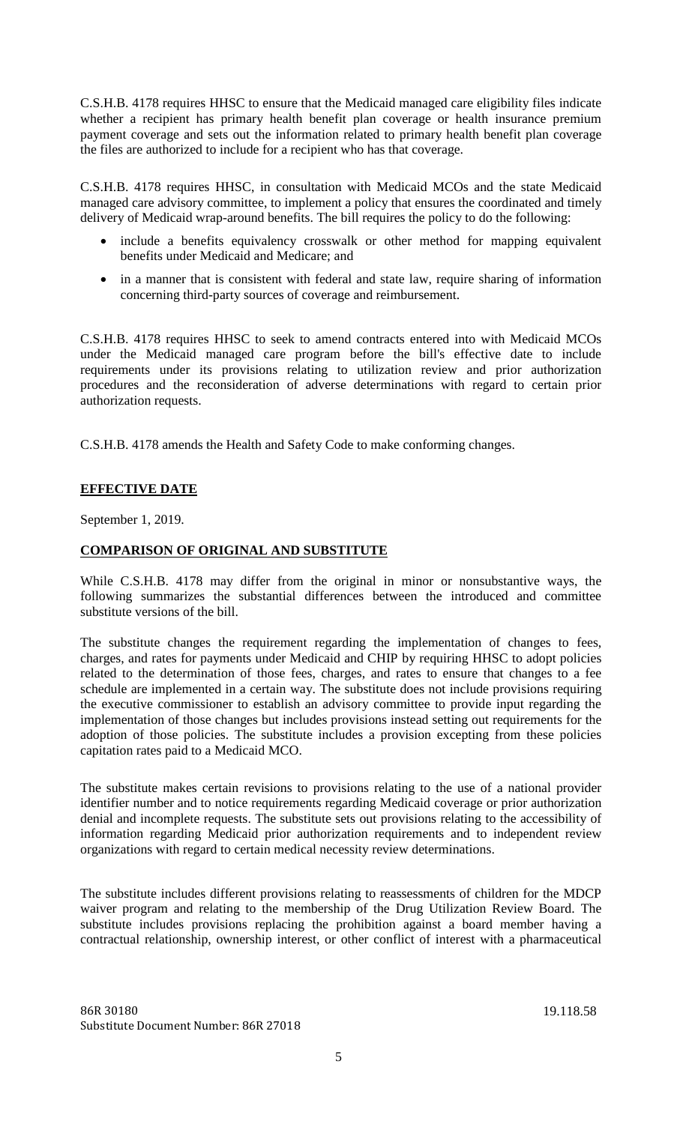C.S.H.B. 4178 requires HHSC to ensure that the Medicaid managed care eligibility files indicate whether a recipient has primary health benefit plan coverage or health insurance premium payment coverage and sets out the information related to primary health benefit plan coverage the files are authorized to include for a recipient who has that coverage.

C.S.H.B. 4178 requires HHSC, in consultation with Medicaid MCOs and the state Medicaid managed care advisory committee, to implement a policy that ensures the coordinated and timely delivery of Medicaid wrap-around benefits. The bill requires the policy to do the following:

- include a benefits equivalency crosswalk or other method for mapping equivalent benefits under Medicaid and Medicare; and
- in a manner that is consistent with federal and state law, require sharing of information concerning third-party sources of coverage and reimbursement.

C.S.H.B. 4178 requires HHSC to seek to amend contracts entered into with Medicaid MCOs under the Medicaid managed care program before the bill's effective date to include requirements under its provisions relating to utilization review and prior authorization procedures and the reconsideration of adverse determinations with regard to certain prior authorization requests.

C.S.H.B. 4178 amends the Health and Safety Code to make conforming changes.

### **EFFECTIVE DATE**

September 1, 2019.

#### **COMPARISON OF ORIGINAL AND SUBSTITUTE**

While C.S.H.B. 4178 may differ from the original in minor or nonsubstantive ways, the following summarizes the substantial differences between the introduced and committee substitute versions of the bill.

The substitute changes the requirement regarding the implementation of changes to fees, charges, and rates for payments under Medicaid and CHIP by requiring HHSC to adopt policies related to the determination of those fees, charges, and rates to ensure that changes to a fee schedule are implemented in a certain way. The substitute does not include provisions requiring the executive commissioner to establish an advisory committee to provide input regarding the implementation of those changes but includes provisions instead setting out requirements for the adoption of those policies. The substitute includes a provision excepting from these policies capitation rates paid to a Medicaid MCO.

The substitute makes certain revisions to provisions relating to the use of a national provider identifier number and to notice requirements regarding Medicaid coverage or prior authorization denial and incomplete requests. The substitute sets out provisions relating to the accessibility of information regarding Medicaid prior authorization requirements and to independent review organizations with regard to certain medical necessity review determinations.

The substitute includes different provisions relating to reassessments of children for the MDCP waiver program and relating to the membership of the Drug Utilization Review Board. The substitute includes provisions replacing the prohibition against a board member having a contractual relationship, ownership interest, or other conflict of interest with a pharmaceutical